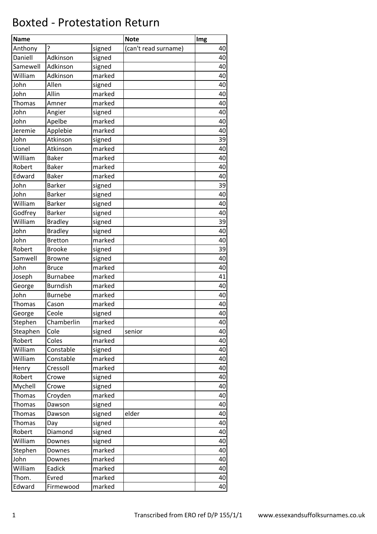## Boxted - Protestation Return

| <b>Name</b> |                 |        | <b>Note</b>          | Img |
|-------------|-----------------|--------|----------------------|-----|
| Anthony     | ?               | signed | (can't read surname) | 40  |
| Daniell     | Adkinson        | signed |                      | 40  |
| Samewell    | Adkinson        | signed |                      | 40  |
| William     | Adkinson        | marked |                      | 40  |
| John        | Allen           | signed |                      | 40  |
| John        | Allin           | marked |                      | 40  |
| Thomas      | Amner           | marked |                      | 40  |
| John        | Angier          | signed |                      | 40  |
| John        | Apelbe          | marked |                      | 40  |
| Jeremie     | Applebie        | marked |                      | 40  |
| John        | Atkinson        | signed |                      | 39  |
| Lionel      | Atkinson        | marked |                      | 40  |
| William     | <b>Baker</b>    | marked |                      | 40  |
| Robert      | <b>Baker</b>    | marked |                      | 40  |
| Edward      | <b>Baker</b>    | marked |                      | 40  |
| John        | <b>Barker</b>   | signed |                      | 39  |
| John        | <b>Barker</b>   | signed |                      | 40  |
| William     | <b>Barker</b>   | signed |                      | 40  |
| Godfrey     | <b>Barker</b>   | signed |                      | 40  |
| William     | <b>Bradley</b>  | signed |                      | 39  |
| John        | <b>Bradley</b>  | signed |                      | 40  |
| John        | <b>Bretton</b>  | marked |                      | 40  |
| Robert      | <b>Brooke</b>   | signed |                      | 39  |
| Samwell     | <b>Browne</b>   | signed |                      | 40  |
| John        | <b>Bruce</b>    | marked |                      | 40  |
| Joseph      | <b>Burnabee</b> | marked |                      | 41  |
| George      | <b>Burndish</b> | marked |                      | 40  |
| John        | <b>Burnebe</b>  | marked |                      | 40  |
| Thomas      | Cason           | marked |                      | 40  |
| George      | Ceole           | signed |                      | 40  |
| Stephen     | Chamberlin      | marked |                      | 40  |
| Steaphen    | Cole            | signed | senior               | 40  |
| Robert      | Coles           | marked |                      | 40  |
| William     | Constable       | signed |                      | 40  |
| William     | Constable       | marked |                      | 40  |
| Henry       | Cressoll        | marked |                      | 40  |
| Robert      | Crowe           | signed |                      | 40  |
| Mychell     | Crowe           | signed |                      | 40  |
| Thomas      | Croyden         | marked |                      | 40  |
| Thomas      | Dawson          | signed |                      | 40  |
| Thomas      | Dawson          | signed | elder                | 40  |
| Thomas      | Day             | signed |                      | 40  |
| Robert      | Diamond         | signed |                      | 40  |
| William     | Downes          | signed |                      | 40  |
| Stephen     | Downes          | marked |                      | 40  |
| John        | Downes          | marked |                      | 40  |
| William     | Eadick          | marked |                      | 40  |
| Thom.       | Evred           | marked |                      | 40  |
| Edward      | Firmewood       | marked |                      | 40  |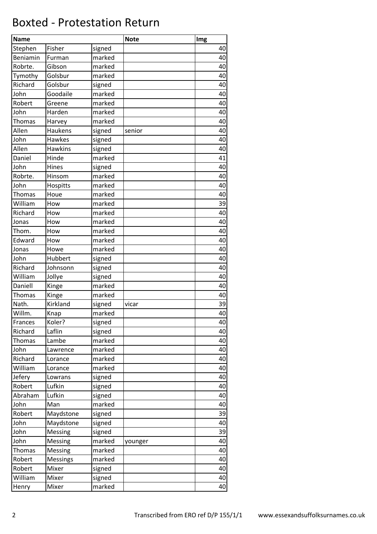## Boxted - Protestation Return

| <b>Name</b>   |                |        | <b>Note</b> | Img |
|---------------|----------------|--------|-------------|-----|
| Stephen       | Fisher         | signed |             | 40  |
| Beniamin      | Furman         | marked |             | 40  |
| Robrte.       | Gibson         | marked |             | 40  |
| Tymothy       | Golsbur        | marked |             | 40  |
| Richard       | Golsbur        | signed |             | 40  |
| John          | Goodaile       | marked |             | 40  |
| Robert        | Greene         | marked |             | 40  |
| John          | Harden         | marked |             | 40  |
| <b>Thomas</b> | Harvey         | marked |             | 40  |
| Allen         | Haukens        | signed | senior      | 40  |
| John          | Hawkes         | signed |             | 40  |
| Allen         | <b>Hawkins</b> | signed |             | 40  |
| Daniel        | Hinde          | marked |             | 41  |
| John          | Hines          | signed |             | 40  |
| Robrte.       | Hinsom         | marked |             | 40  |
| John          | Hospitts       | marked |             | 40  |
| <b>Thomas</b> | Houe           | marked |             | 40  |
| William       | How            | marked |             | 39  |
| Richard       | How            | marked |             | 40  |
| Jonas         | How            | marked |             | 40  |
| Thom.         | How            | marked |             | 40  |
| Edward        | How            | marked |             | 40  |
| Jonas         | Howe           | marked |             | 40  |
| John          | Hubbert        | signed |             | 40  |
| Richard       | Johnsonn       | signed |             | 40  |
| William       | Jollye         | signed |             | 40  |
| Daniell       | Kinge          | marked |             | 40  |
| Thomas        | Kinge          | marked |             | 40  |
| Nath.         | Kirkland       | signed | vicar       | 39  |
| Willm.        | Knap           | marked |             | 40  |
| Frances       | Koler?         | signed |             | 40  |
| Richard       | Laflin         | signed |             | 40  |
| Thomas        | Lambe          | marked |             | 40  |
| John          | Lawrence       | marked |             | 40  |
| Richard       | Lorance        | marked |             | 40  |
| William       | Lorance        | marked |             | 40  |
| Jefery        | Lowrans        | signed |             | 40  |
| Robert        | Lufkin         | signed |             | 40  |
| Abraham       | Lufkin         | signed |             | 40  |
| John          | Man            | marked |             | 40  |
| Robert        | Maydstone      | signed |             | 39  |
| John          | Maydstone      | signed |             | 40  |
| John          | Messing        | signed |             | 39  |
| John          | Messing        | marked | younger     | 40  |
| Thomas        | Messing        | marked |             | 40  |
| Robert        | Messings       | marked |             | 40  |
| Robert        | Mixer          | signed |             | 40  |
| William       | Mixer          | signed |             | 40  |
| Henry         | Mixer          | marked |             | 40  |